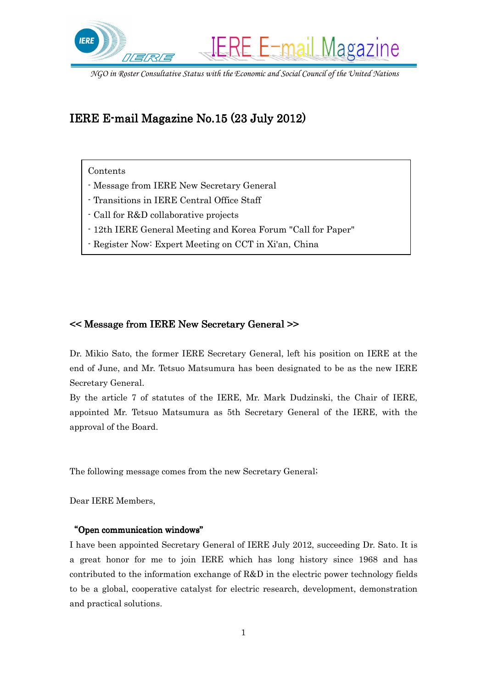

# IERE E-mail Magazine No.15 $(23$  July 2012)

Contents

- Message from IERE New Secretary General
- Transitions in IERE Central Office Staff
- Call for R&D collaborative projects
- 12th IERE General Meeting and Korea Forum "Call for Paper"
- Register Now: Expert Meeting on CCT in Xi'an, China

## << Message from IERE New Secretary General >> from IERE

Dr. Mikio Sato, the former IERE Secretary General, left his position on IERE at the end of June, and Mr. Tetsuo Matsumura has been designated to be as the new IERE Secretary General.

By the article 7 of statutes of the IERE, Mr. Mark Dudzinski, the Chair of IERE, appointed Mr. Tetsuo Matsumura as 5th Secretary General of the IERE, with the approval of the Board.

The following message comes from the new Secretary General;

Dear IERE Members,

#### "Open communication windows"

I have been appointed Secretary General of IERE July 2012, succeeding Dr. Sato. It is a great honor for me to join IERE which has long history since 1968 and has contributed to the information exchange of R&D in the electric power technology fields to be a global, cooperative catalyst for electric research, development, demonstration and practical solutions.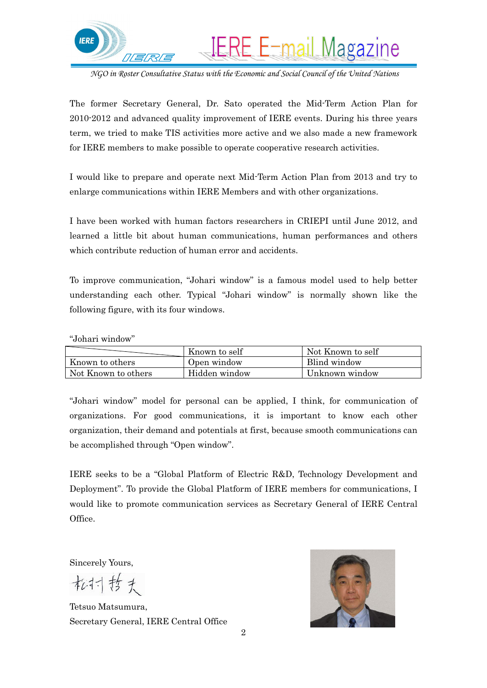

The former Secretary General, Dr. Sato operated the Mid-Term Action Plan for 2010-2012 and advanced quality improvement of IERE events. During his three years term, we tried to make TIS activities more active and we also made a new framework for IERE members to make possible to operate cooperative research activities.

I would like to prepare and operate next Mid-Term Action Plan from 2013 and try to enlarge communications within IERE Members and with other organizations.

I have been worked with human factors researchers in CRIEPI until June 2012, and learned a little bit about human communications, human performances and others which contribute reduction of human error and accidents.

To improve communication, "Johari window" is a famous model used to help better understanding each other. Typical "Johari window" is normally shown like the following figure, with its four windows.

"Johari window"

|                     | Known to self | Not Known to self |
|---------------------|---------------|-------------------|
| Known to others     | Open window   | Blind window      |
| Not Known to others | Hidden window | Unknown window    |

"Johari window" model for personal can be applied, I think, for communication of organizations. For good communications, it is important to know each other organization, their demand and potentials at first, because smooth communications can be accomplished through "Open window".

IERE seeks to be a "Global Platform of Electric R&D, Technology Development and Deployment". To provide the Global Platform of IERE members for communications, I would like to promote communication services as Secretary General of IERE Central Office.

Sincerely Yours,

松村哲夫

Tetsuo Matsumura, Secretary General, IERE Central Office

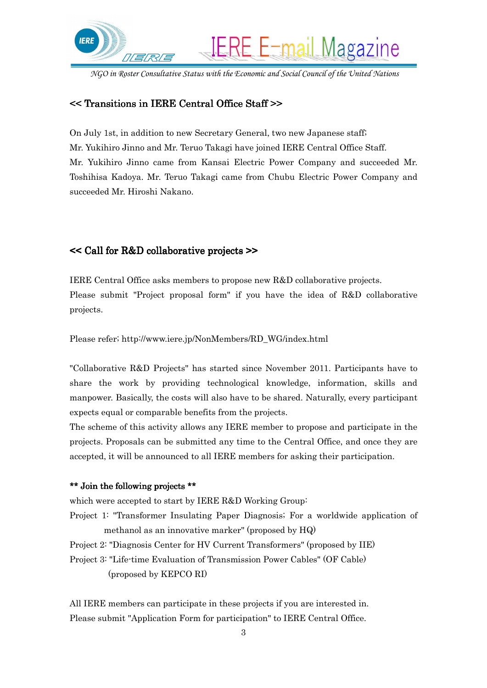

# << Transitions in IERE Central Office Staff >> in IERE Central Office >>

On July 1st, in addition to new Secretary General, two new Japanese staff; Mr. Yukihiro Jinno and Mr. Teruo Takagi have joined IERE Central Office Staff. Mr. Yukihiro Jinno came from Kansai Electric Power Company and succeeded Mr. Toshihisa Kadoya. Mr. Teruo Takagi came from Chubu Electric Power Company and succeeded Mr. Hiroshi Nakano.

## << Call for R&D collaborative projects >> Call for R&D collaborative

IERE Central Office asks members to propose new R&D collaborative projects. Please submit "Project proposal form" if you have the idea of R&D collaborative projects.

Please refer; http://www.iere.jp/NonMembers/RD\_WG/index.html

"Collaborative R&D Projects" has started since November 2011. Participants have to share the work by providing technological knowledge, information, skills and manpower. Basically, the costs will also have to be shared. Naturally, every participant expects equal or comparable benefits from the projects.

The scheme of this activity allows any IERE member to propose and participate in the projects. Proposals can be submitted any time to the Central Office, and once they are accepted, it will be announced to all IERE members for asking their participation.

#### \*\* Join the following projects \*\*

which were accepted to start by IERE R&D Working Group:

Project 1: "Transformer Insulating Paper Diagnosis; For a worldwide application of methanol as an innovative marker" (proposed by HQ)

Project 2: "Diagnosis Center for HV Current Transformers" (proposed by IIE)

Project 3: "Life-time Evaluation of Transmission Power Cables" (OF Cable) (proposed by KEPCO RI)

All IERE members can participate in these projects if you are interested in. Please submit "Application Form for participation" to IERE Central Office.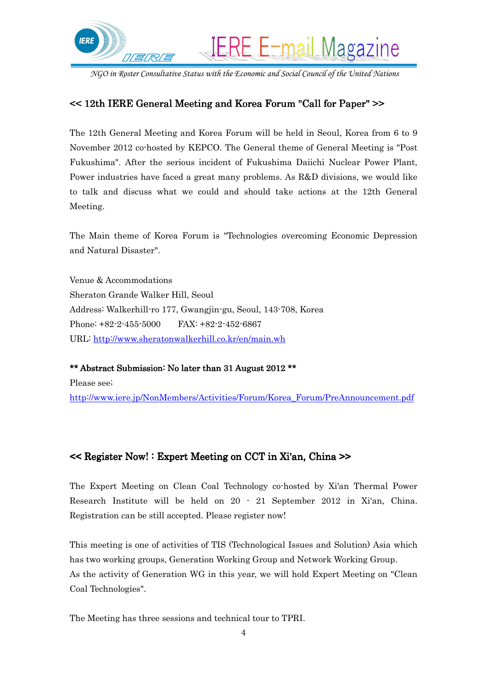

# << 12th IERE General Meeting and Korea Forum "Call for Paper" >> for Paper" >>

The 12th General Meeting and Korea Forum will be held in Seoul, Korea from 6 to 9 November 2012 co-hosted by KEPCO. The General theme of General Meeting is "Post Fukushima". After the serious incident of Fukushima Daiichi Nuclear Power Plant, Power industries have faced a great many problems. As R&D divisions, we would like to talk and discuss what we could and should take actions at the 12th General Meeting.

The Main theme of Korea Forum is "Technologies overcoming Economic Depression and Natural Disaster".

Venue & Accommodations Sheraton Grande Walker Hill, Seoul Address: Walkerhill-ro 177, Gwangjin-gu, Seoul, 143-708, Korea Phone: +82-2-455-5000 FAX: +82-2-452-6867 URL: http://www.sheratonwalkerhill.co.kr/en/main.wh

\*\* Abstract Submission: No later than 31 August 2012 \*\* Please see; http://www.iere.jp/NonMembers/Activities/Forum/Korea\_Forum/PreAnnouncement.pdf

## $<<$  Register Now! : Expert Meeting on CCT in Xi'an, China  $>>$

The Expert Meeting on Clean Coal Technology co-hosted by Xi'an Thermal Power Research Institute will be held on 20 - 21 September 2012 in Xi'an, China. Registration can be still accepted. Please register now!

This meeting is one of activities of TIS (Technological Issues and Solution) Asia which has two working groups, Generation Working Group and Network Working Group. As the activity of Generation WG in this year, we will hold Expert Meeting on "Clean Coal Technologies".

The Meeting has three sessions and technical tour to TPRI.